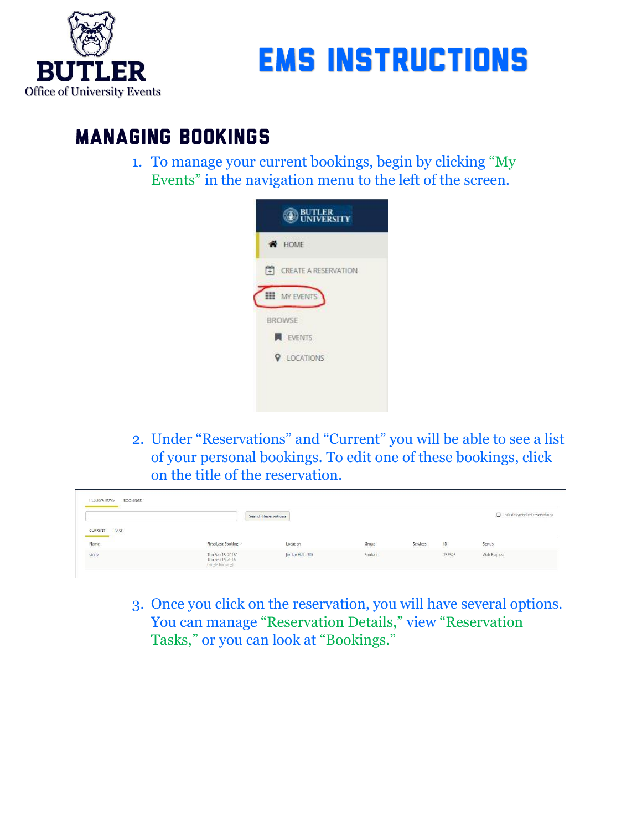

## **MANAGING BOOKINGS**

1. To manage your current bookings, begin by clicking "My Events" in the navigation menu to the left of the screen.



2. Under "Reservations" and "Current" you will be able to see a list of your personal bookings. To edit one of these bookings, click on the title of the reservation.

|                 |                      |                     |       |          |    | [7] Include cancelled reservations |
|-----------------|----------------------|---------------------|-------|----------|----|------------------------------------|
|                 |                      | Search Reservations |       |          |    |                                    |
| CURRENT<br>PAST |                      |                     |       |          |    |                                    |
|                 |                      |                     |       |          |    |                                    |
| Name<br>study   | First/Last Booking ^ | Location            | Group | Services | ID | Status                             |

3. Once you click on the reservation, you will have several options. You can manage "Reservation Details," view "Reservation Tasks," or you can look at "Bookings."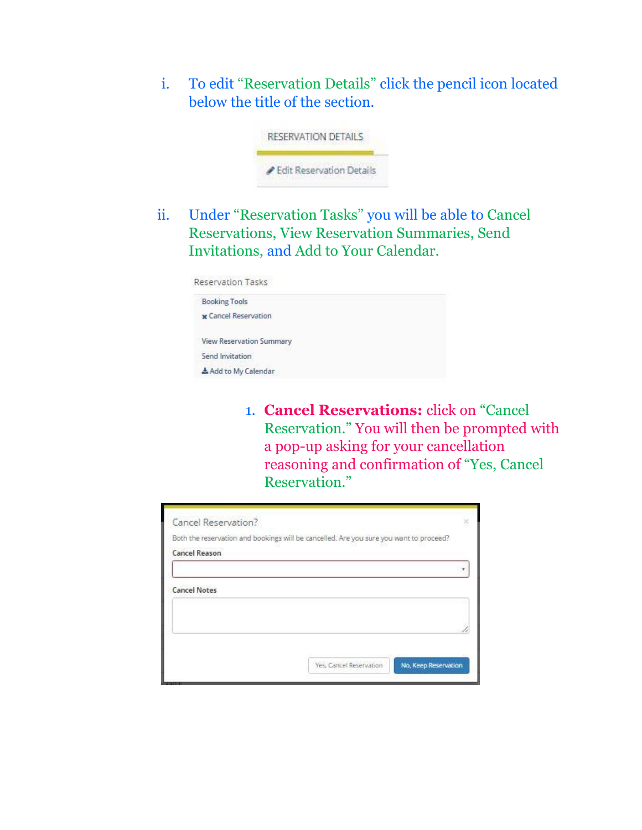i. To edit "Reservation Details" click the pencil icon located below the title of the section.



ii. Under "Reservation Tasks" you will be able to Cancel Reservations, View Reservation Summaries, Send Invitations, and Add to Your Calendar.

Reservation Tasks

| <b>Booking Tools</b>        |  |
|-----------------------------|--|
| <b>x</b> Cancel Reservation |  |
| View Reservation Summary    |  |
| Send Invitation             |  |
| Add to My Calendar          |  |
|                             |  |

1. **Cancel Reservations:** click on "Cancel Reservation." You will then be prompted with a pop-up asking for your cancellation reasoning and confirmation of "Yes, Cancel Reservation."

| Cancel Reservation?  |                                                                                        |  |
|----------------------|----------------------------------------------------------------------------------------|--|
|                      | Both the reservation and bookings will be cancelled. Are you sure you want to proceed? |  |
| <b>Cancel Reason</b> |                                                                                        |  |
|                      |                                                                                        |  |
| <b>Cancel Notes</b>  |                                                                                        |  |
|                      |                                                                                        |  |
|                      |                                                                                        |  |
|                      |                                                                                        |  |
|                      | No, Keep Reservation<br>Yes, Cancel Reservation                                        |  |